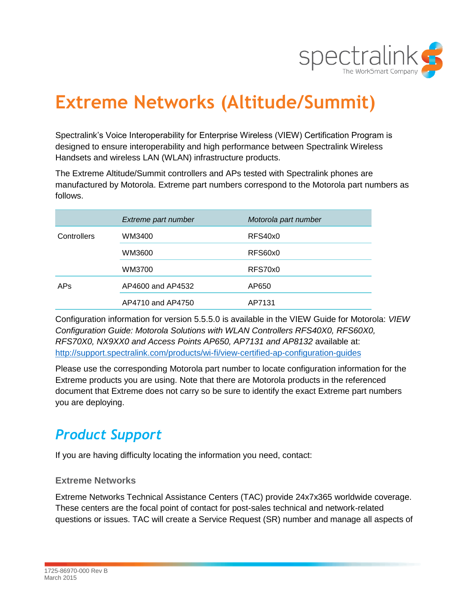

# **Extreme Networks (Altitude/Summit)**

Spectralink's Voice Interoperability for Enterprise Wireless (VIEW) Certification Program is designed to ensure interoperability and high performance between Spectralink Wireless Handsets and wireless LAN (WLAN) infrastructure products.

The Extreme Altitude/Summit controllers and APs tested with Spectralink phones are manufactured by Motorola. Extreme part numbers correspond to the Motorola part numbers as follows.

|             | Extreme part number | Motorola part number |
|-------------|---------------------|----------------------|
| Controllers | WM3400              | RFS40x0              |
|             | WM3600              | RFS60x0              |
|             | WM3700              | RFS70x0              |
| <b>APs</b>  | AP4600 and AP4532   | AP650                |
|             | AP4710 and AP4750   | AP7131               |

Configuration information for version 5.5.5.0 is available in the VIEW Guide for Motorola: *VIEW Configuration Guide: Motorola Solutions with WLAN Controllers RFS40X0, RFS60X0, RFS70X0, NX9XX0 and Access Points AP650, AP7131 and AP8132* available at: <http://support.spectralink.com/products/wi-fi/view-certified-ap-configuration-guides>

Please use the corresponding Motorola part number to locate configuration information for the Extreme products you are using. Note that there are Motorola products in the referenced document that Extreme does not carry so be sure to identify the exact Extreme part numbers you are deploying.

# *Product Support*

If you are having difficulty locating the information you need, contact:

### **Extreme Networks**

Extreme Networks Technical Assistance Centers (TAC) provide 24x7x365 worldwide coverage. These centers are the focal point of contact for post-sales technical and network-related questions or issues. TAC will create a Service Request (SR) number and manage all aspects of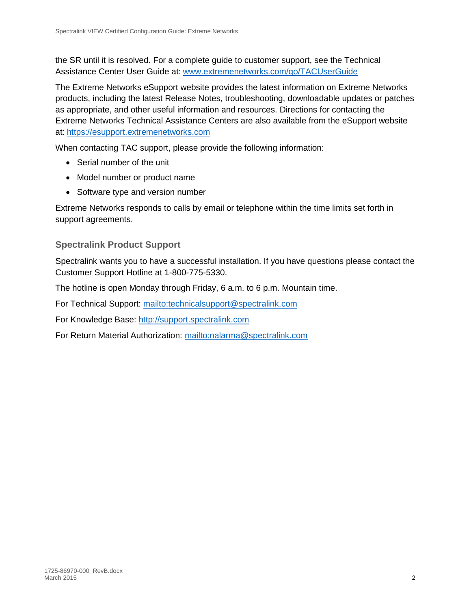the SR until it is resolved. For a complete guide to customer support, see the Technical Assistance Center User Guide at: [www.extremenetworks.com/go/TACUserGuide](http://www.extremenetworks.com/go/TACUserGuide)

The Extreme Networks eSupport website provides the latest information on Extreme Networks products, including the latest Release Notes, troubleshooting, downloadable updates or patches as appropriate, and other useful information and resources. Directions for contacting the Extreme Networks Technical Assistance Centers are also available from the eSupport website at: [https://esupport.extremenetworks.com](https://esupport.extremenetworks.com/)

When contacting TAC support, please provide the following information:

- Serial number of the unit
- Model number or product name
- Software type and version number

Extreme Networks responds to calls by email or telephone within the time limits set forth in support agreements.

## **Spectralink Product Support**

Spectralink wants you to have a successful installation. If you have questions please contact the Customer Support Hotline at 1-800-775-5330.

The hotline is open Monday through Friday, 6 a.m. to 6 p.m. Mountain time.

For Technical Support:<mailto:technicalsupport@spectralink.com>

For Knowledge Base: [http://support.spectralink.com](http://support.spectralink.com/)

For Return Material Authorization:<mailto:nalarma@spectralink.com>